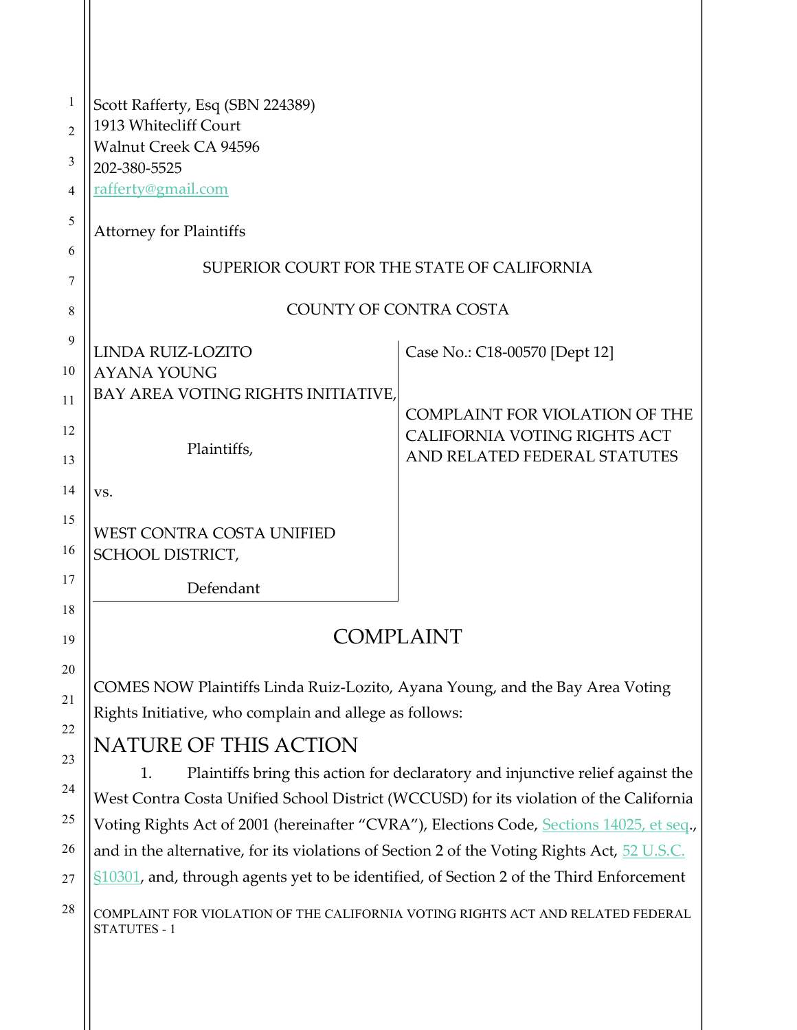| 1<br>$\overline{2}$<br>3<br>$\overline{4}$<br>5 | Scott Rafferty, Esq (SBN 224389)<br>1913 Whitecliff Court<br><b>Walnut Creek CA 94596</b><br>202-380-5525<br>rafferty@gmail.com                                                |                                                                                                       |  |  |  |  |  |
|-------------------------------------------------|--------------------------------------------------------------------------------------------------------------------------------------------------------------------------------|-------------------------------------------------------------------------------------------------------|--|--|--|--|--|
| 6                                               | <b>Attorney for Plaintiffs</b>                                                                                                                                                 |                                                                                                       |  |  |  |  |  |
| 7                                               | SUPERIOR COURT FOR THE STATE OF CALIFORNIA                                                                                                                                     |                                                                                                       |  |  |  |  |  |
| 8                                               | <b>COUNTY OF CONTRA COSTA</b>                                                                                                                                                  |                                                                                                       |  |  |  |  |  |
| 9                                               | LINDA RUIZ-LOZITO                                                                                                                                                              | Case No.: C18-00570 [Dept 12]                                                                         |  |  |  |  |  |
| 10                                              | <b>AYANA YOUNG</b><br>BAY AREA VOTING RIGHTS INITIATIVE,                                                                                                                       |                                                                                                       |  |  |  |  |  |
| 11<br>12<br>13                                  | Plaintiffs,                                                                                                                                                                    | <b>COMPLAINT FOR VIOLATION OF THE</b><br>CALIFORNIA VOTING RIGHTS ACT<br>AND RELATED FEDERAL STATUTES |  |  |  |  |  |
| 14                                              | VS.                                                                                                                                                                            |                                                                                                       |  |  |  |  |  |
| 15<br>16                                        | <b>WEST CONTRA COSTA UNIFIED</b><br>SCHOOL DISTRICT,                                                                                                                           |                                                                                                       |  |  |  |  |  |
| 17                                              | Defendant                                                                                                                                                                      |                                                                                                       |  |  |  |  |  |
| 18<br>19                                        | COMPLAINT                                                                                                                                                                      |                                                                                                       |  |  |  |  |  |
| 20<br>21<br>22                                  | COMES NOW Plaintiffs Linda Ruiz-Lozito, Ayana Young, and the Bay Area Voting<br>Rights Initiative, who complain and allege as follows:                                         |                                                                                                       |  |  |  |  |  |
| 23                                              | NATURE OF THIS ACTION                                                                                                                                                          |                                                                                                       |  |  |  |  |  |
| 24                                              | Plaintiffs bring this action for declaratory and injunctive relief against the<br>1.<br>West Contra Costa Unified School District (WCCUSD) for its violation of the California |                                                                                                       |  |  |  |  |  |
| 25                                              | Voting Rights Act of 2001 (hereinafter "CVRA"), Elections Code, Sections 14025, et seq.,                                                                                       |                                                                                                       |  |  |  |  |  |
| 26                                              | and in the alternative, for its violations of Section 2 of the Voting Rights Act, 52 U.S.C.                                                                                    |                                                                                                       |  |  |  |  |  |
| 27                                              | §10301, and, through agents yet to be identified, of Section 2 of the Third Enforcement                                                                                        |                                                                                                       |  |  |  |  |  |
| 28                                              | COMPLAINT FOR VIOLATION OF THE CALIFORNIA VOTING RIGHTS ACT AND RELATED FEDERAL<br><b>STATUTES - 1</b>                                                                         |                                                                                                       |  |  |  |  |  |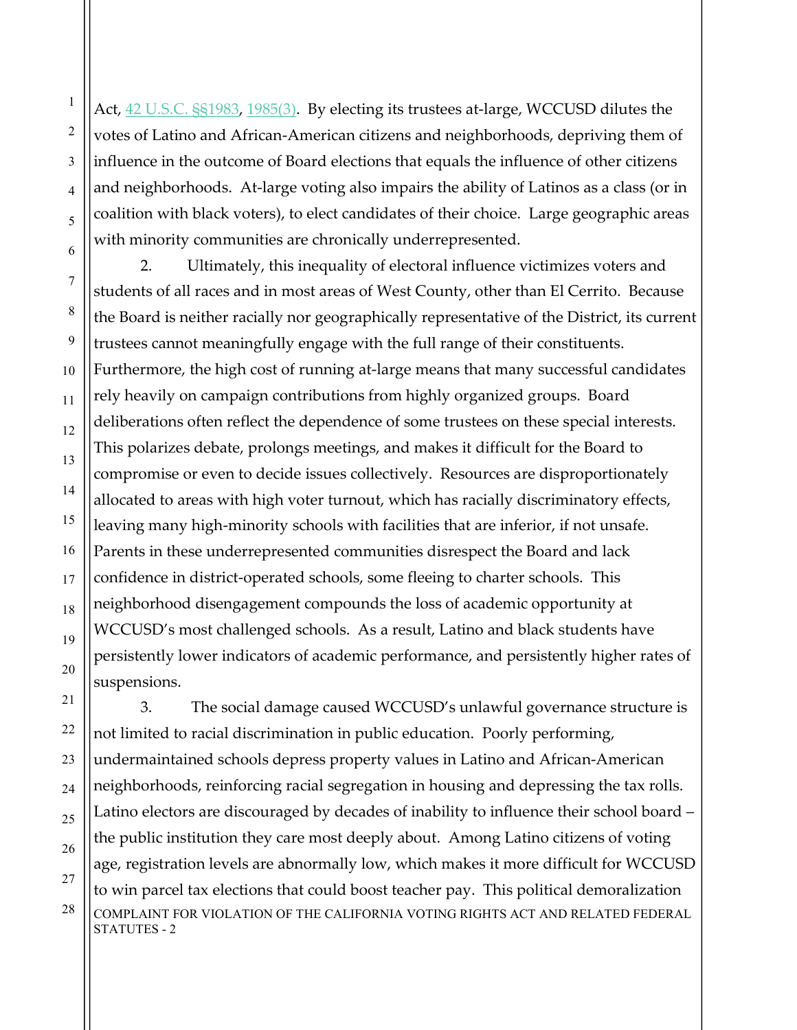Act, 42 U.S.C. §§1983, 1985(3). By electing its trustees at-large, WCCUSD dilutes the votes of Latino and African-American citizens and neighborhoods, depriving them of influence in the outcome of Board elections that equals the influence of other citizens and neighborhoods. At-large voting also impairs the ability of Latinos as a class (or in coalition with black voters), to elect candidates of their choice. Large geographic areas with minority communities are chronically underrepresented.

2. Ultimately, this inequality of electoral influence victimizes voters and students of all races and in most areas of West County, other than El Cerrito. Because the Board is neither racially nor geographically representative of the District, its current trustees cannot meaningfully engage with the full range of their constituents. Furthermore, the high cost of running at-large means that many successful candidates rely heavily on campaign contributions from highly organized groups. Board deliberations often reflect the dependence of some trustees on these special interests. This polarizes debate, prolongs meetings, and makes it difficult for the Board to compromise or even to decide issues collectively. Resources are disproportionately allocated to areas with high voter turnout, which has racially discriminatory effects, leaving many high-minority schools with facilities that are inferior, if not unsafe. Parents in these underrepresented communities disrespect the Board and lack confidence in district-operated schools, some fleeing to charter schools. This neighborhood disengagement compounds the loss of academic opportunity at WCCUSD's most challenged schools. As a result, Latino and black students have persistently lower indicators of academic performance, and persistently higher rates of suspensions.

 $28$   $\vert$  COMPLAINT FOR VIOLATION OF THE CALIFORNIA VOTING RIGHTS ACT AND RELATED FEDERAL STATUTES - 2 3. The social damage caused WCCUSD's unlawful governance structure is not limited to racial discrimination in public education. Poorly performing, undermaintained schools depress property values in Latino and African-American neighborhoods, reinforcing racial segregation in housing and depressing the tax rolls. Latino electors are discouraged by decades of inability to influence their school board – the public institution they care most deeply about. Among Latino citizens of voting age, registration levels are abnormally low, which makes it more difficult for WCCUSD to win parcel tax elections that could boost teacher pay. This political demoralization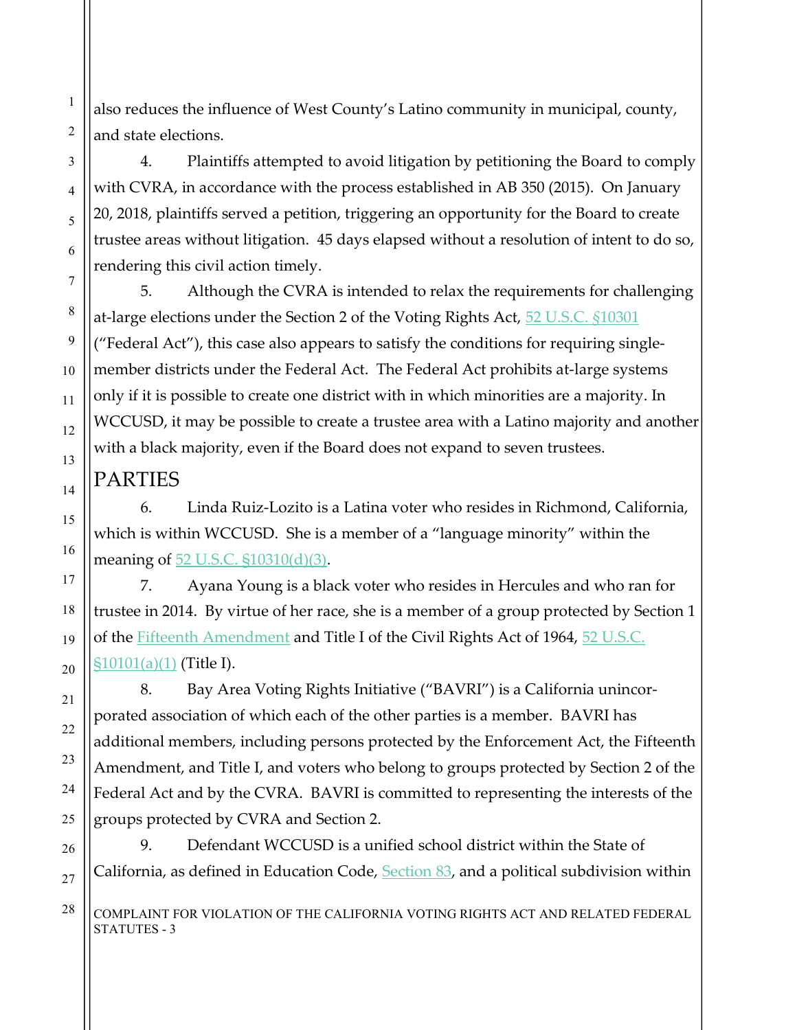also reduces the influence of West County's Latino community in municipal, county, and state elections.

4. Plaintiffs attempted to avoid litigation by petitioning the Board to comply with CVRA, in accordance with the process established in AB 350 (2015). On January 20, 2018, plaintiffs served a petition, triggering an opportunity for the Board to create trustee areas without litigation. 45 days elapsed without a resolution of intent to do so, rendering this civil action timely.

5. Although the CVRA is intended to relax the requirements for challenging at-large elections under the Section 2 of the Voting Rights Act, 52 U.S.C. §10301 ("Federal Act"), this case also appears to satisfy the conditions for requiring singlemember districts under the Federal Act. The Federal Act prohibits at-large systems only if it is possible to create one district with in which minorities are a majority. In WCCUSD, it may be possible to create a trustee area with a Latino majority and another with a black majority, even if the Board does not expand to seven trustees.

## PARTIES

6. Linda Ruiz-Lozito is a Latina voter who resides in Richmond, California, which is within WCCUSD. She is a member of a "language minority" within the meaning of 52 U.S.C. §10310(d)(3).

7. Ayana Young is a black voter who resides in Hercules and who ran for trustee in 2014. By virtue of her race, she is a member of a group protected by Section 1 of the **Fifteenth Amendment** and Title I of the Civil Rights Act of 1964, 52 U.S.C.  $$10101(a)(1)$  (Title I).

8. Bay Area Voting Rights Initiative ("BAVRI") is a California unincorporated association of which each of the other parties is a member. BAVRI has additional members, including persons protected by the Enforcement Act, the Fifteenth Amendment, and Title I, and voters who belong to groups protected by Section 2 of the Federal Act and by the CVRA. BAVRI is committed to representing the interests of the groups protected by CVRA and Section 2.

9. Defendant WCCUSD is a unified school district within the State of California, as defined in Education Code, **Section 83**, and a political subdivision within

 $\frac{28}{\text{COMPLAINT}}$  FOR VIOLATION OF THE CALIFORNIA VOTING RIGHTS ACT AND RELATED FEDERAL STATUTES - 3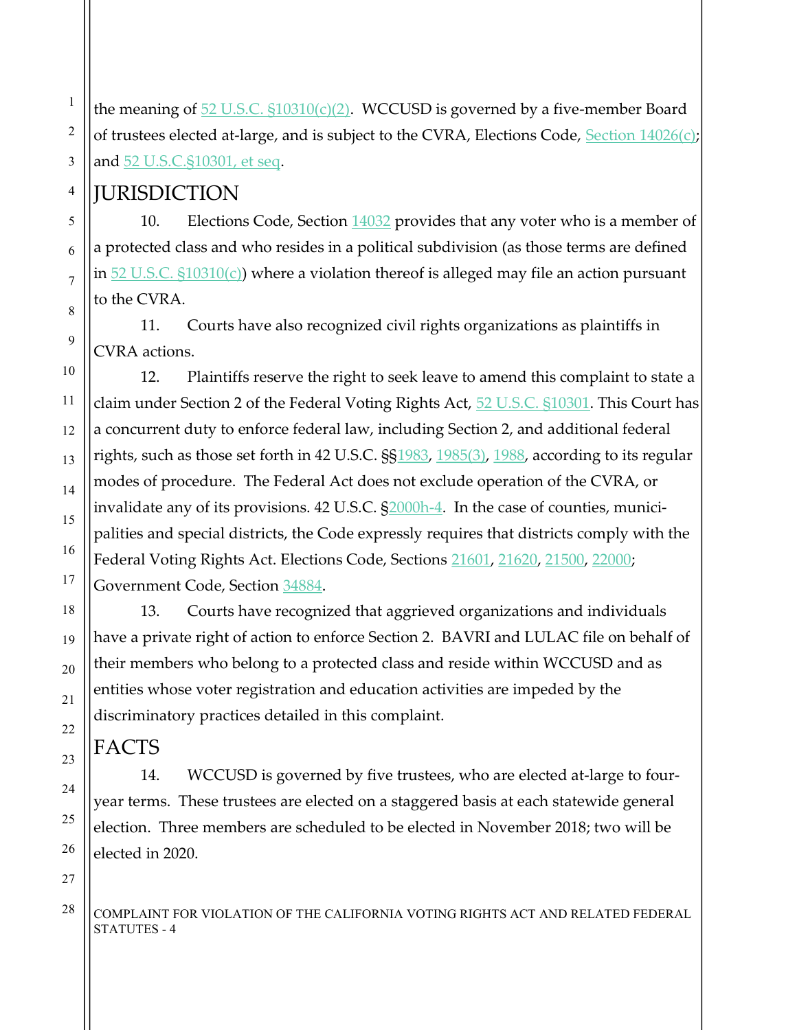the meaning of  $52$  U.S.C.  $$10310(c)(2)$ . WCCUSD is governed by a five-member Board of trustees elected at-large, and is subject to the CVRA, Elections Code, Section  $14026(c)$ ; and 52 U.S.C.§10301, et seq.

# **IURISDICTION**

10. Elections Code, Section 14032 provides that any voter who is a member of a protected class and who resides in a political subdivision (as those terms are defined in  $52$  U.S.C.  $$10310(c)$ ) where a violation thereof is alleged may file an action pursuant to the CVRA.

11. Courts have also recognized civil rights organizations as plaintiffs in CVRA actions.

12. Plaintiffs reserve the right to seek leave to amend this complaint to state a claim under Section 2 of the Federal Voting Rights Act, 52 U.S.C. §10301. This Court has a concurrent duty to enforce federal law, including Section 2, and additional federal rights, such as those set forth in 42 U.S.C. §§1983, 1985(3), 1988, according to its regular modes of procedure. The Federal Act does not exclude operation of the CVRA, or invalidate any of its provisions. 42 U.S.C. §2000h-4. In the case of counties, municipalities and special districts, the Code expressly requires that districts comply with the Federal Voting Rights Act. Elections Code, Sections 21601, 21620, 21500, 22000; Government Code, Section 34884.

13. Courts have recognized that aggrieved organizations and individuals have a private right of action to enforce Section 2. BAVRI and LULAC file on behalf of their members who belong to a protected class and reside within WCCUSD and as entities whose voter registration and education activities are impeded by the discriminatory practices detailed in this complaint.

**FACTS** 

14. WCCUSD is governed by five trustees, who are elected at-large to fouryear terms. These trustees are elected on a staggered basis at each statewide general election. Three members are scheduled to be elected in November 2018; two will be elected in 2020.

#### $\frac{28}{\text{COMPLAINT}}$  FOR VIOLATION OF THE CALIFORNIA VOTING RIGHTS ACT AND RELATED FEDERAL STATUTES - 4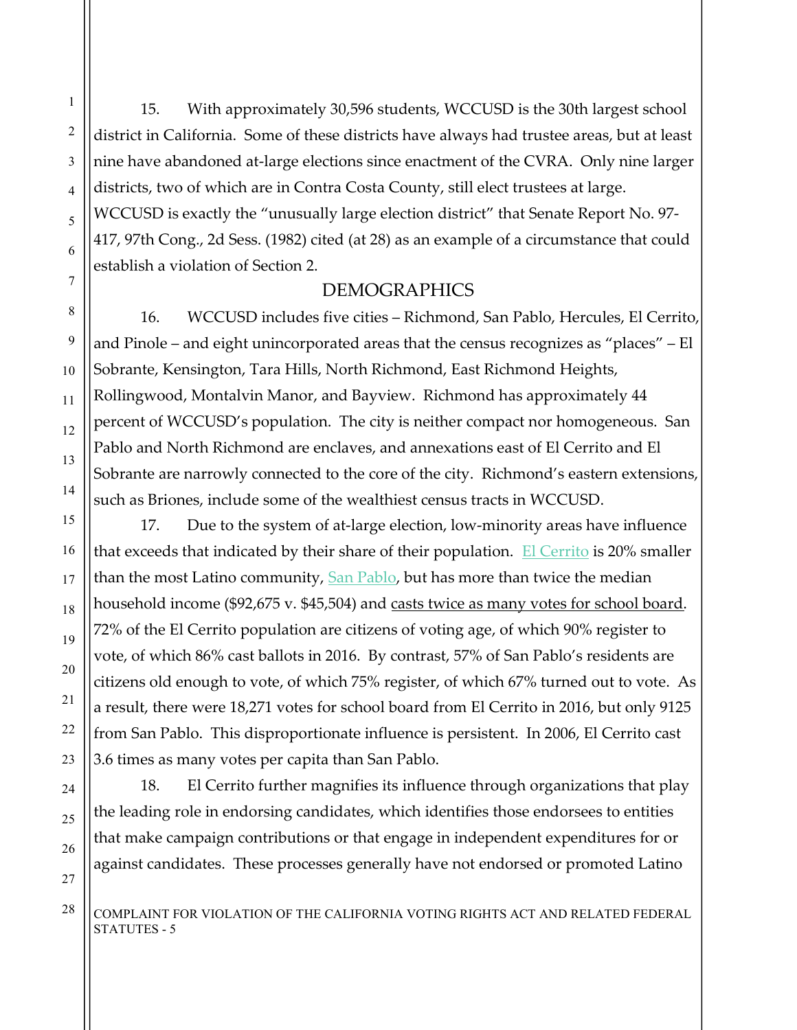15. With approximately 30,596 students, WCCUSD is the 30th largest school district in California. Some of these districts have always had trustee areas, but at least nine have abandoned at-large elections since enactment of the CVRA. Only nine larger districts, two of which are in Contra Costa County, still elect trustees at large. WCCUSD is exactly the "unusually large election district" that Senate Report No. 97- 417, 97th Cong., 2d Sess. (1982) cited (at 28) as an example of a circumstance that could establish a violation of Section 2.

## DEMOGRAPHICS

16. WCCUSD includes five cities – Richmond, San Pablo, Hercules, El Cerrito, and Pinole – and eight unincorporated areas that the census recognizes as "places" – El Sobrante, Kensington, Tara Hills, North Richmond, East Richmond Heights, Rollingwood, Montalvin Manor, and Bayview. Richmond has approximately 44 percent of WCCUSD's population. The city is neither compact nor homogeneous. San Pablo and North Richmond are enclaves, and annexations east of El Cerrito and El Sobrante are narrowly connected to the core of the city. Richmond's eastern extensions, such as Briones, include some of the wealthiest census tracts in WCCUSD.

17. Due to the system of at-large election, low-minority areas have influence that exceeds that indicated by their share of their population. El Cerrito is 20% smaller than the most Latino community, San Pablo, but has more than twice the median household income (\$92,675 v. \$45,504) and casts twice as many votes for school board. 72% of the El Cerrito population are citizens of voting age, of which 90% register to vote, of which 86% cast ballots in 2016. By contrast, 57% of San Pablo's residents are citizens old enough to vote, of which 75% register, of which 67% turned out to vote. As a result, there were 18,271 votes for school board from El Cerrito in 2016, but only 9125 from San Pablo. This disproportionate influence is persistent. In 2006, El Cerrito cast 3.6 times as many votes per capita than San Pablo.

18. El Cerrito further magnifies its influence through organizations that play the leading role in endorsing candidates, which identifies those endorsees to entities that make campaign contributions or that engage in independent expenditures for or against candidates. These processes generally have not endorsed or promoted Latino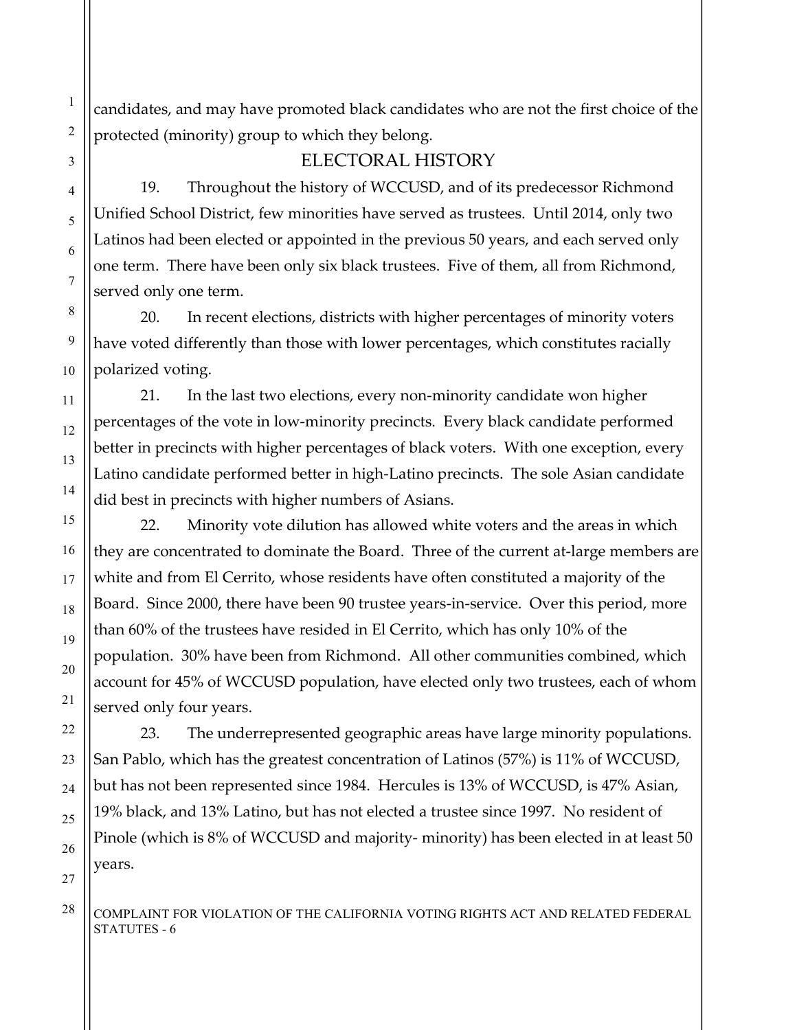candidates, and may have promoted black candidates who are not the first choice of the protected (minority) group to which they belong.

## ELECTORAL HISTORY

19. Throughout the history of WCCUSD, and of its predecessor Richmond Unified School District, few minorities have served as trustees. Until 2014, only two Latinos had been elected or appointed in the previous 50 years, and each served only one term. There have been only six black trustees. Five of them, all from Richmond, served only one term.

20. In recent elections, districts with higher percentages of minority voters have voted differently than those with lower percentages, which constitutes racially polarized voting.

21. In the last two elections, every non-minority candidate won higher percentages of the vote in low-minority precincts. Every black candidate performed better in precincts with higher percentages of black voters. With one exception, every Latino candidate performed better in high-Latino precincts. The sole Asian candidate did best in precincts with higher numbers of Asians.

22. Minority vote dilution has allowed white voters and the areas in which they are concentrated to dominate the Board. Three of the current at-large members are white and from El Cerrito, whose residents have often constituted a majority of the Board. Since 2000, there have been 90 trustee years-in-service. Over this period, more than 60% of the trustees have resided in El Cerrito, which has only 10% of the population. 30% have been from Richmond. All other communities combined, which account for 45% of WCCUSD population, have elected only two trustees, each of whom served only four years.

23. The underrepresented geographic areas have large minority populations. San Pablo, which has the greatest concentration of Latinos (57%) is 11% of WCCUSD, but has not been represented since 1984. Hercules is 13% of WCCUSD, is 47% Asian, 19% black, and 13% Latino, but has not elected a trustee since 1997. No resident of Pinole (which is 8% of WCCUSD and majority- minority) has been elected in at least 50 years.

#### $28$   $\vert$   $\vert$  COMPLAINT FOR VIOLATION OF THE CALIFORNIA VOTING RIGHTS ACT AND RELATED FEDERAL STATUTES - 6

1

2

3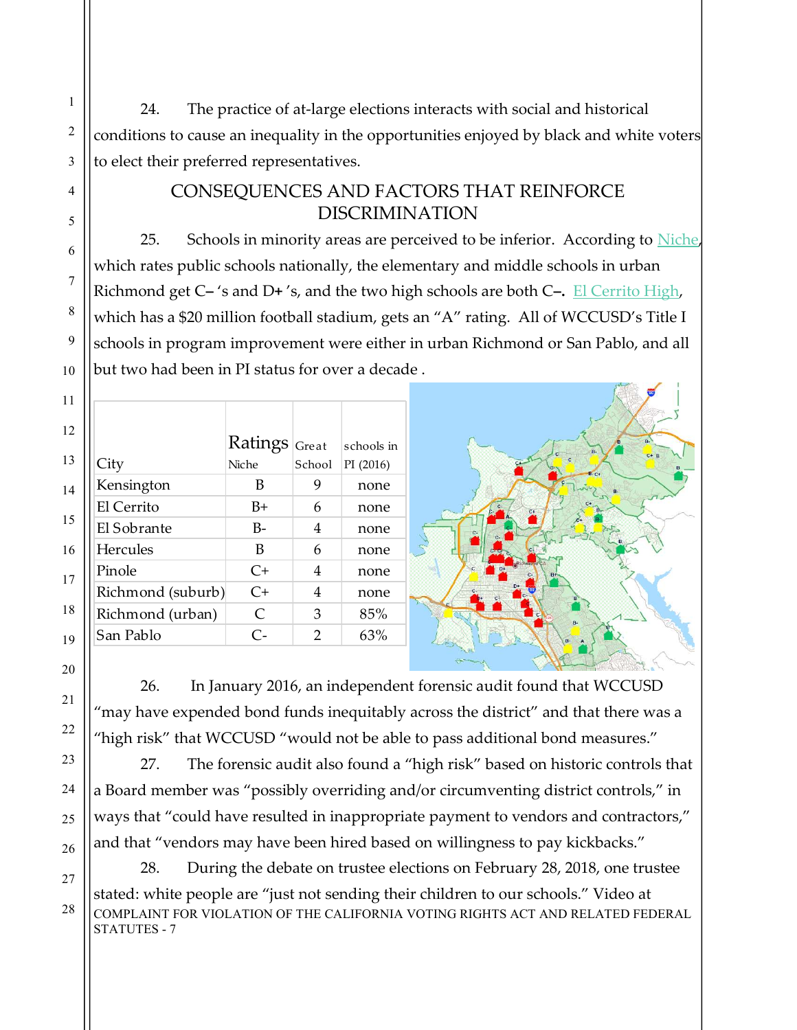24. The practice of at-large elections interacts with social and historical conditions to cause an inequality in the opportunities enjoyed by black and white voters to elect their preferred representatives.

# CONSEQUENCES AND FACTORS THAT REINFORCE DISCRIMINATION

25. Schools in minority areas are perceived to be inferior. According to Niche, which rates public schools nationally, the elementary and middle schools in urban Richmond get  $C-$  's and  $D+$  's, and the two high schools are both  $C-$ . El Cerrito High, which has a \$20 million football stadium, gets an "A" rating. All of WCCUSD's Title I schools in program improvement were either in urban Richmond or San Pablo, and all but two had been in PI status for over a decade . Fractional B<br>
Consider the presentatives.<br>
CONSEQUENCES AND FACTORS THAT REINFORCE<br>
DISCRIMINATION<br>
25. Schools in minority areas are perceived to be inferior. According to <u>Niche</u><br>
which rates public schools nationally, t CONSEQUENCES AND FACTORS THAT REINFORCE<br>
DISCRIMINATION<br>
25. Schools in minority areas are perceived to be inferior. According to Niche<br>
which rates public schools nationally, the elementary and middle schools in urban<br>
Ri

|                                                                                        |                    |                |            | <b>DISCRIMINATION</b>                                                                                             |  |  |  |
|----------------------------------------------------------------------------------------|--------------------|----------------|------------|-------------------------------------------------------------------------------------------------------------------|--|--|--|
| Schools in minority areas are perceived to be inferior. According to Niche,<br>25.     |                    |                |            |                                                                                                                   |  |  |  |
| which rates public schools nationally, the elementary and middle schools in urban      |                    |                |            |                                                                                                                   |  |  |  |
| Richmond get C-'s and D+'s, and the two high schools are both C-. El Cerrito High,     |                    |                |            |                                                                                                                   |  |  |  |
| which has a \$20 million football stadium, gets an "A" rating. All of WCCUSD's Title I |                    |                |            |                                                                                                                   |  |  |  |
|                                                                                        |                    |                |            | schools in program improvement were either in urban Richmond or San Pablo, and all                                |  |  |  |
| but two had been in PI status for over a decade.                                       |                    |                |            |                                                                                                                   |  |  |  |
|                                                                                        |                    |                |            |                                                                                                                   |  |  |  |
|                                                                                        |                    |                |            |                                                                                                                   |  |  |  |
|                                                                                        | $Ratings _{Great}$ |                | schools in |                                                                                                                   |  |  |  |
| City                                                                                   | Niche              | School         | PI (2016)  |                                                                                                                   |  |  |  |
| Kensington                                                                             | B                  | 9              | none       |                                                                                                                   |  |  |  |
| El Cerrito                                                                             | $B+$               | 6              | none       |                                                                                                                   |  |  |  |
| El Sobrante                                                                            | $B-$               | $\overline{4}$ | none       |                                                                                                                   |  |  |  |
| Hercules                                                                               | B                  | 6              | none       |                                                                                                                   |  |  |  |
| Pinole                                                                                 | $C+$               | $\overline{4}$ | none       |                                                                                                                   |  |  |  |
| Richmond (suburb)                                                                      | $C+$               | $\overline{4}$ | none       |                                                                                                                   |  |  |  |
| Richmond (urban)                                                                       | $\mathsf{C}$       | 3              | 85%        |                                                                                                                   |  |  |  |
| San Pablo                                                                              | $C-$               | $\overline{2}$ | 63%        |                                                                                                                   |  |  |  |
|                                                                                        |                    |                |            |                                                                                                                   |  |  |  |
| 26.                                                                                    |                    |                |            | In January 2016, an independent forensic audit found that WCCUSD                                                  |  |  |  |
|                                                                                        |                    |                |            | "may have expended bond funds inequitably across the district" and that there was a                               |  |  |  |
|                                                                                        |                    |                |            | $(1 + 1 + 1)$ $(1 + 1)$ $(2 + 1)$ $(3 + 1)$ $(4 + 1)$ $(5 + 1)$ $(6 + 1)$ $(1 + 1)$ $(1 + 1)$ $(1 + 1)$ $(1 + 1)$ |  |  |  |



26. In January 2016, an independent forensic audit found that WCCUSD "may have expended bond funds inequitably across the district" and that there was a "high risk" that WCCUSD "would not be able to pass additional bond measures."

27. The forensic audit also found a "high risk" based on historic controls that a Board member was "possibly overriding and/or circumventing district controls," in ways that "could have resulted in inappropriate payment to vendors and contractors," and that "vendors may have been hired based on willingness to pay kickbacks."

 $28$   $\vert$   $\vert$  COMPLAINT FOR VIOLATION OF THE CALIFORNIA VOTING RIGHTS ACT AND RELATED FEDERAL STATUTES - 7 28. During the debate on trustee elections on February 28, 2018, one trustee stated: white people are "just not sending their children to our schools." Video at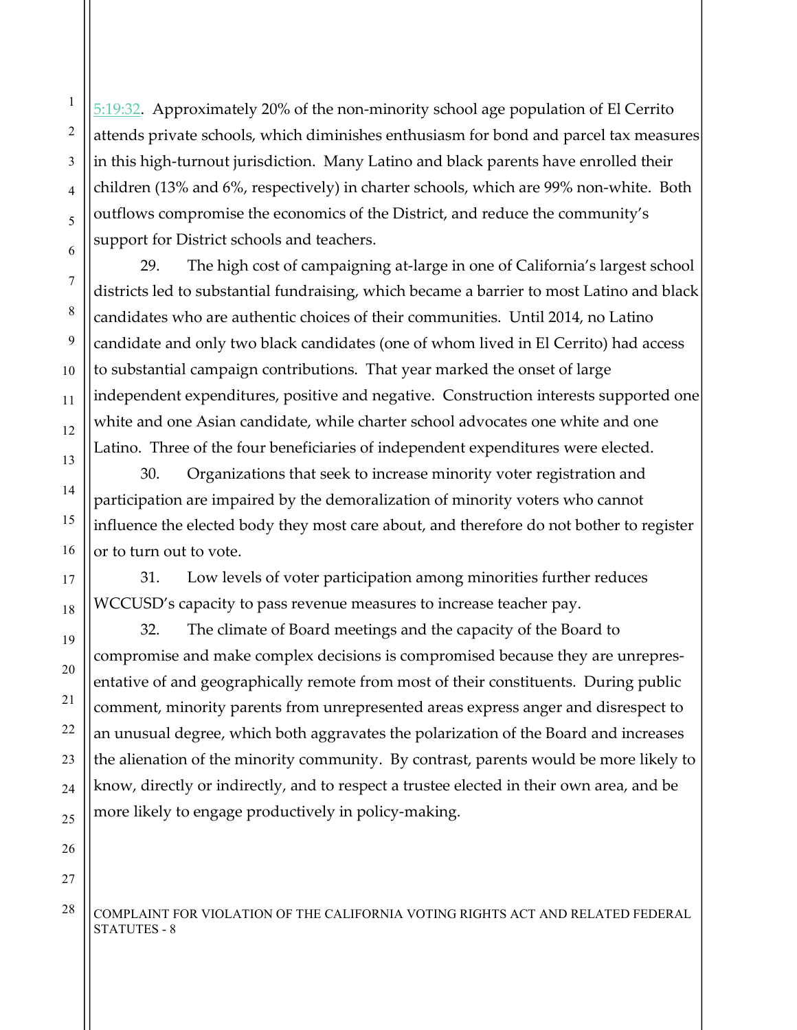5:19:32. Approximately 20% of the non-minority school age population of El Cerrito attends private schools, which diminishes enthusiasm for bond and parcel tax measures in this high-turnout jurisdiction. Many Latino and black parents have enrolled their children (13% and 6%, respectively) in charter schools, which are 99% non-white. Both outflows compromise the economics of the District, and reduce the community's support for District schools and teachers.

29. The high cost of campaigning at-large in one of California's largest school districts led to substantial fundraising, which became a barrier to most Latino and black candidates who are authentic choices of their communities. Until 2014, no Latino candidate and only two black candidates (one of whom lived in El Cerrito) had access to substantial campaign contributions. That year marked the onset of large independent expenditures, positive and negative. Construction interests supported one white and one Asian candidate, while charter school advocates one white and one Latino. Three of the four beneficiaries of independent expenditures were elected.

30. Organizations that seek to increase minority voter registration and participation are impaired by the demoralization of minority voters who cannot influence the elected body they most care about, and therefore do not bother to register or to turn out to vote.

31. Low levels of voter participation among minorities further reduces WCCUSD's capacity to pass revenue measures to increase teacher pay.

32. The climate of Board meetings and the capacity of the Board to compromise and make complex decisions is compromised because they are unrepresentative of and geographically remote from most of their constituents. During public comment, minority parents from unrepresented areas express anger and disrespect to an unusual degree, which both aggravates the polarization of the Board and increases the alienation of the minority community. By contrast, parents would be more likely to know, directly or indirectly, and to respect a trustee elected in their own area, and be more likely to engage productively in policy-making.

 $\frac{28}{\text{COMPLAINT}}$  FOR VIOLATION OF THE CALIFORNIA VOTING RIGHTS ACT AND RELATED FEDERAL STATUTES - 8

1

2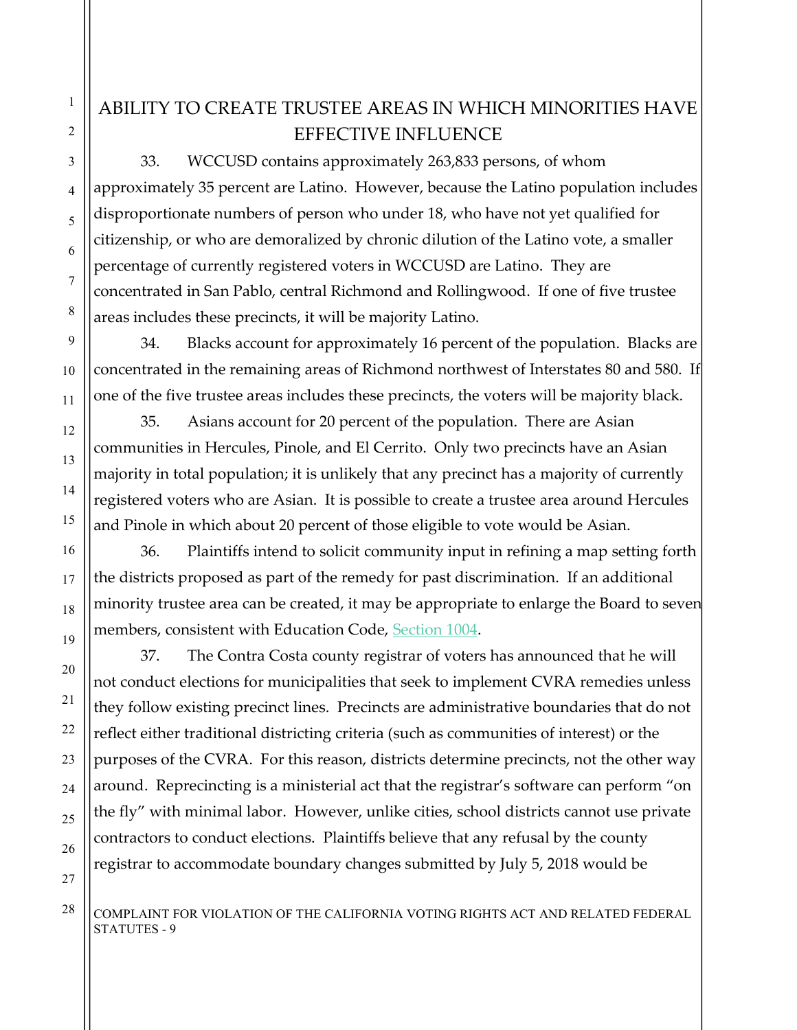# ABILITY TO CREATE TRUSTEE AREAS IN WHICH MINORITIES HAVE EFFECTIVE INFLUENCE

33. WCCUSD contains approximately 263,833 persons, of whom approximately 35 percent are Latino. However, because the Latino population includes disproportionate numbers of person who under 18, who have not yet qualified for citizenship, or who are demoralized by chronic dilution of the Latino vote, a smaller percentage of currently registered voters in WCCUSD are Latino. They are concentrated in San Pablo, central Richmond and Rollingwood. If one of five trustee areas includes these precincts, it will be majority Latino.

34. Blacks account for approximately 16 percent of the population. Blacks are concentrated in the remaining areas of Richmond northwest of Interstates 80 and 580. If one of the five trustee areas includes these precincts, the voters will be majority black.

35. Asians account for 20 percent of the population. There are Asian communities in Hercules, Pinole, and El Cerrito. Only two precincts have an Asian majority in total population; it is unlikely that any precinct has a majority of currently registered voters who are Asian. It is possible to create a trustee area around Hercules and Pinole in which about 20 percent of those eligible to vote would be Asian.

36. Plaintiffs intend to solicit community input in refining a map setting forth the districts proposed as part of the remedy for past discrimination. If an additional minority trustee area can be created, it may be appropriate to enlarge the Board to seven members, consistent with Education Code, Section 1004.

37. The Contra Costa county registrar of voters has announced that he will not conduct elections for municipalities that seek to implement CVRA remedies unless they follow existing precinct lines. Precincts are administrative boundaries that do not reflect either traditional districting criteria (such as communities of interest) or the purposes of the CVRA. For this reason, districts determine precincts, not the other way around. Reprecincting is a ministerial act that the registrar's software can perform "on the fly" with minimal labor. However, unlike cities, school districts cannot use private contractors to conduct elections. Plaintiffs believe that any refusal by the county registrar to accommodate boundary changes submitted by July 5, 2018 would be

 $\frac{28}{\rm COMPLAINT}$  FOR VIOLATION OF THE CALIFORNIA VOTING RIGHTS ACT AND RELATED FEDERAL STATUTES - 9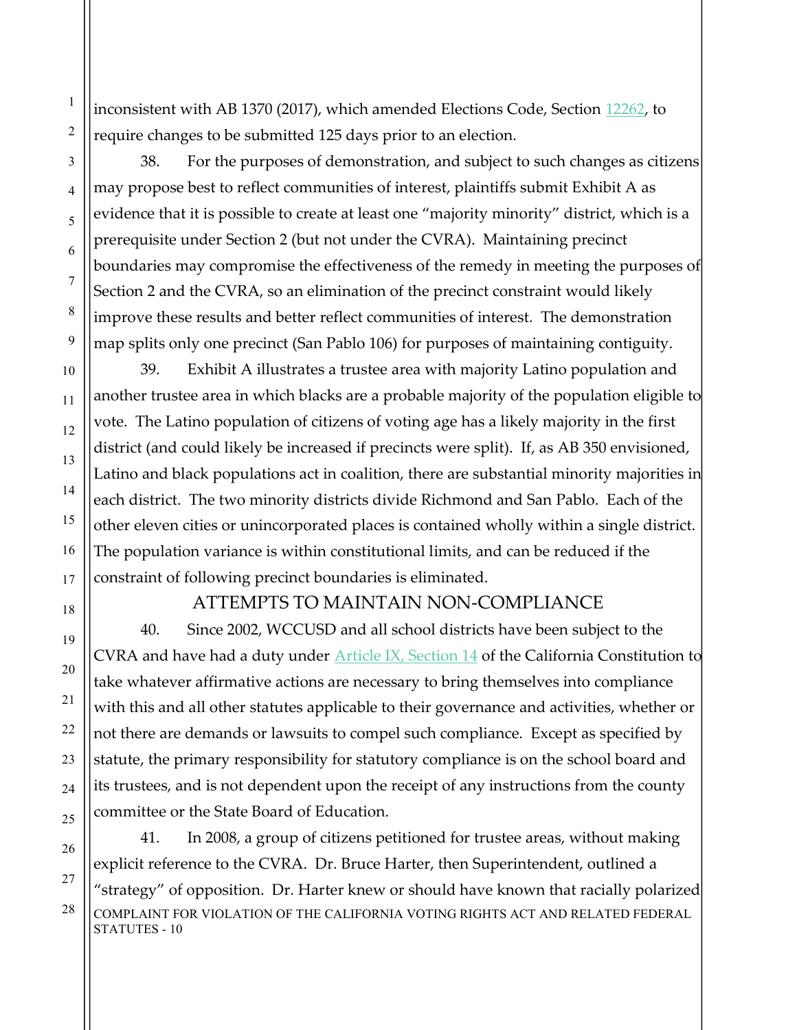inconsistent with AB 1370 (2017), which amended Elections Code, Section 12262, to require changes to be submitted 125 days prior to an election.

38. For the purposes of demonstration, and subject to such changes as citizens may propose best to reflect communities of interest, plaintiffs submit Exhibit A as evidence that it is possible to create at least one "majority minority" district, which is a prerequisite under Section 2 (but not under the CVRA). Maintaining precinct boundaries may compromise the effectiveness of the remedy in meeting the purposes of Section 2 and the CVRA, so an elimination of the precinct constraint would likely improve these results and better reflect communities of interest. The demonstration map splits only one precinct (San Pablo 106) for purposes of maintaining contiguity.

39. Exhibit A illustrates a trustee area with majority Latino population and another trustee area in which blacks are a probable majority of the population eligible to vote. The Latino population of citizens of voting age has a likely majority in the first district (and could likely be increased if precincts were split). If, as AB 350 envisioned, Latino and black populations act in coalition, there are substantial minority majorities in each district. The two minority districts divide Richmond and San Pablo. Each of the other eleven cities or unincorporated places is contained wholly within a single district. The population variance is within constitutional limits, and can be reduced if the constraint of following precinct boundaries is eliminated.

### ATTEMPTS TO MAINTAIN NON-COMPLIANCE

40. Since 2002, WCCUSD and all school districts have been subject to the CVRA and have had a duty under  $\frac{\text{Article IX}}{\text{A}}$ , Section 14 of the California Constitution to take whatever affirmative actions are necessary to bring themselves into compliance with this and all other statutes applicable to their governance and activities, whether or not there are demands or lawsuits to compel such compliance. Except as specified by statute, the primary responsibility for statutory compliance is on the school board and its trustees, and is not dependent upon the receipt of any instructions from the county committee or the State Board of Education.

 $28$   $\vert$  COMPLAINT FOR VIOLATION OF THE CALIFORNIA VOTING RIGHTS ACT AND RELATED FEDERAL STATUTES - 10 41. In 2008, a group of citizens petitioned for trustee areas, without making explicit reference to the CVRA. Dr. Bruce Harter, then Superintendent, outlined a "strategy" of opposition. Dr. Harter knew or should have known that racially polarized

1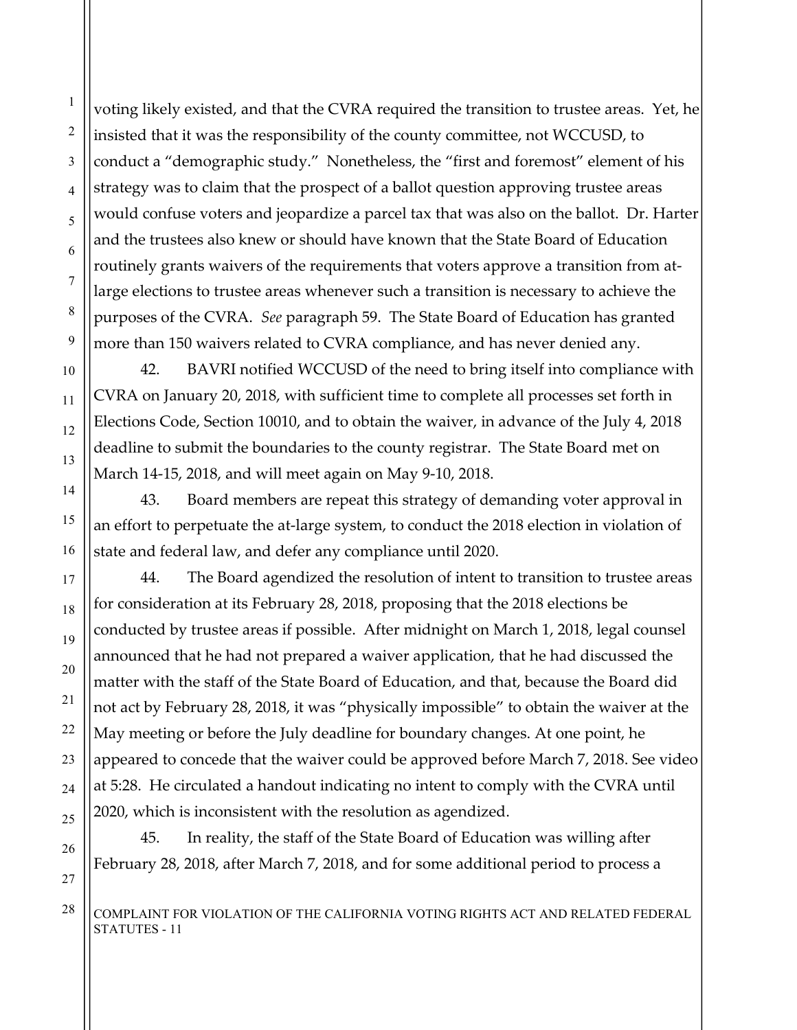voting likely existed, and that the CVRA required the transition to trustee areas. Yet, he insisted that it was the responsibility of the county committee, not WCCUSD, to conduct a "demographic study." Nonetheless, the "first and foremost" element of his strategy was to claim that the prospect of a ballot question approving trustee areas would confuse voters and jeopardize a parcel tax that was also on the ballot. Dr. Harter and the trustees also knew or should have known that the State Board of Education routinely grants waivers of the requirements that voters approve a transition from atlarge elections to trustee areas whenever such a transition is necessary to achieve the purposes of the CVRA. See paragraph 59. The State Board of Education has granted more than 150 waivers related to CVRA compliance, and has never denied any.

42. BAVRI notified WCCUSD of the need to bring itself into compliance with CVRA on January 20, 2018, with sufficient time to complete all processes set forth in Elections Code, Section 10010, and to obtain the waiver, in advance of the July 4, 2018 deadline to submit the boundaries to the county registrar. The State Board met on March 14-15, 2018, and will meet again on May 9-10, 2018.

43. Board members are repeat this strategy of demanding voter approval in an effort to perpetuate the at-large system, to conduct the 2018 election in violation of state and federal law, and defer any compliance until 2020.

44. The Board agendized the resolution of intent to transition to trustee areas for consideration at its February 28, 2018, proposing that the 2018 elections be conducted by trustee areas if possible. After midnight on March 1, 2018, legal counsel announced that he had not prepared a waiver application, that he had discussed the matter with the staff of the State Board of Education, and that, because the Board did not act by February 28, 2018, it was "physically impossible" to obtain the waiver at the May meeting or before the July deadline for boundary changes. At one point, he appeared to concede that the waiver could be approved before March 7, 2018. See video at 5:28. He circulated a handout indicating no intent to comply with the CVRA until 2020, which is inconsistent with the resolution as agendized.

45. In reality, the staff of the State Board of Education was willing after February 28, 2018, after March 7, 2018, and for some additional period to process a

 $28$   $\vert$   $\vert$  COMPLAINT FOR VIOLATION OF THE CALIFORNIA VOTING RIGHTS ACT AND RELATED FEDERAL STATUTES - 11

1

2

3

4

5

6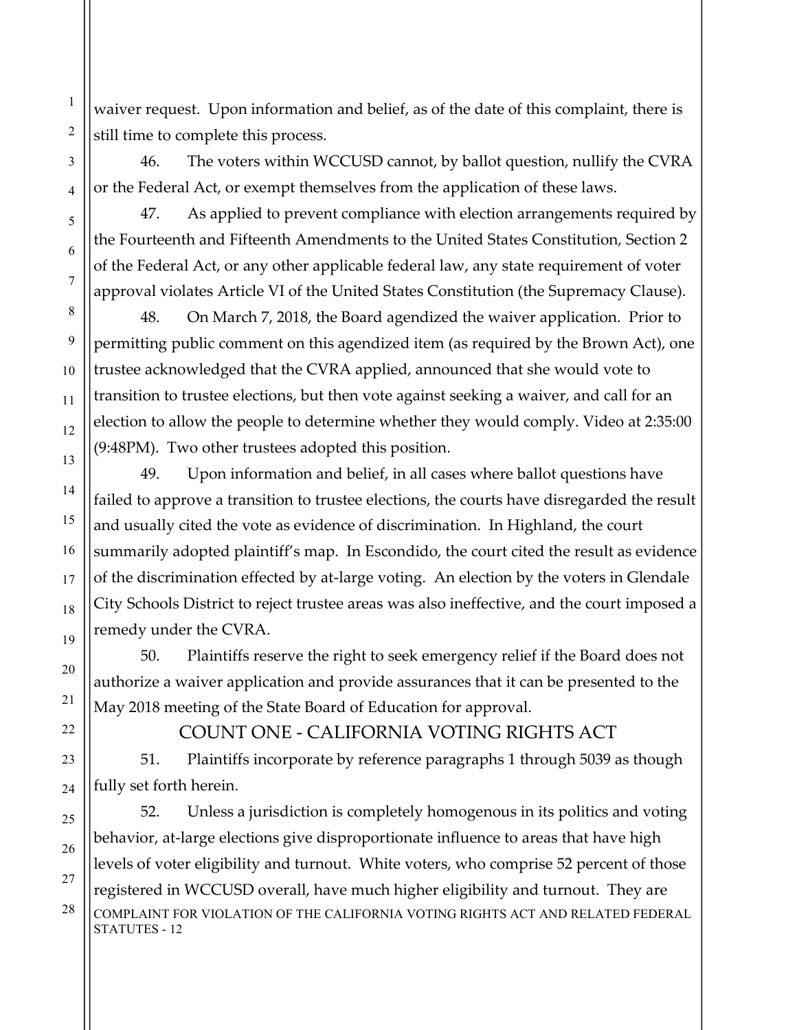waiver request. Upon information and belief, as of the date of this complaint, there is still time to complete this process.

46. The voters within WCCUSD cannot, by ballot question, nullify the CVRA or the Federal Act, or exempt themselves from the application of these laws.

47. As applied to prevent compliance with election arrangements required by the Fourteenth and Fifteenth Amendments to the United States Constitution, Section 2 of the Federal Act, or any other applicable federal law, any state requirement of voter approval violates Article VI of the United States Constitution (the Supremacy Clause).

48. On March 7, 2018, the Board agendized the waiver application. Prior to permitting public comment on this agendized item (as required by the Brown Act), one trustee acknowledged that the CVRA applied, announced that she would vote to transition to trustee elections, but then vote against seeking a waiver, and call for an election to allow the people to determine whether they would comply. Video at 2:35:00 (9:48PM). Two other trustees adopted this position.

49. Upon information and belief, in all cases where ballot questions have failed to approve a transition to trustee elections, the courts have disregarded the result and usually cited the vote as evidence of discrimination. In Highland, the court summarily adopted plaintiff's map. In Escondido, the court cited the result as evidence of the discrimination effected by at-large voting. An election by the voters in Glendale City Schools District to reject trustee areas was also ineffective, and the court imposed a remedy under the CVRA.

50. Plaintiffs reserve the right to seek emergency relief if the Board does not authorize a waiver application and provide assurances that it can be presented to the May 2018 meeting of the State Board of Education for approval.

## COUNT ONE - CALIFORNIA VOTING RIGHTS ACT

51. Plaintiffs incorporate by reference paragraphs 1 through 5039 as though fully set forth herein.

 $28$   $\vert$  COMPLAINT FOR VIOLATION OF THE CALIFORNIA VOTING RIGHTS ACT AND RELATED FEDERAL STATUTES - 12 52. Unless a jurisdiction is completely homogenous in its politics and voting behavior, at-large elections give disproportionate influence to areas that have high levels of voter eligibility and turnout. White voters, who comprise 52 percent of those registered in WCCUSD overall, have much higher eligibility and turnout. They are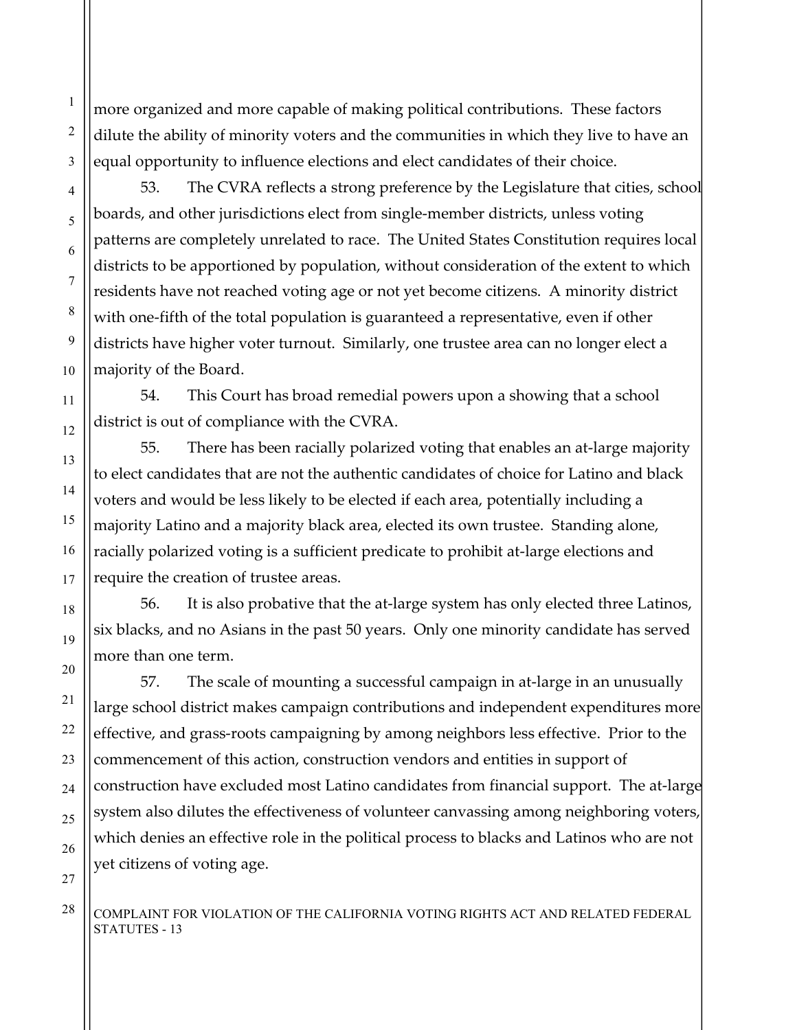more organized and more capable of making political contributions. These factors dilute the ability of minority voters and the communities in which they live to have an equal opportunity to influence elections and elect candidates of their choice.

53. The CVRA reflects a strong preference by the Legislature that cities, school boards, and other jurisdictions elect from single-member districts, unless voting patterns are completely unrelated to race. The United States Constitution requires local districts to be apportioned by population, without consideration of the extent to which residents have not reached voting age or not yet become citizens. A minority district with one-fifth of the total population is guaranteed a representative, even if other districts have higher voter turnout. Similarly, one trustee area can no longer elect a majority of the Board.

54. This Court has broad remedial powers upon a showing that a school district is out of compliance with the CVRA.

55. There has been racially polarized voting that enables an at-large majority to elect candidates that are not the authentic candidates of choice for Latino and black voters and would be less likely to be elected if each area, potentially including a majority Latino and a majority black area, elected its own trustee. Standing alone, racially polarized voting is a sufficient predicate to prohibit at-large elections and require the creation of trustee areas.

56. It is also probative that the at-large system has only elected three Latinos, six blacks, and no Asians in the past 50 years. Only one minority candidate has served more than one term.

57. The scale of mounting a successful campaign in at-large in an unusually large school district makes campaign contributions and independent expenditures more effective, and grass-roots campaigning by among neighbors less effective. Prior to the commencement of this action, construction vendors and entities in support of construction have excluded most Latino candidates from financial support. The at-large system also dilutes the effectiveness of volunteer canvassing among neighboring voters, which denies an effective role in the political process to blacks and Latinos who are not yet citizens of voting age.

 $\frac{28}{\text{COMPLAINT}}$  FOR VIOLATION OF THE CALIFORNIA VOTING RIGHTS ACT AND RELATED FEDERAL STATUTES - 13

1

2

3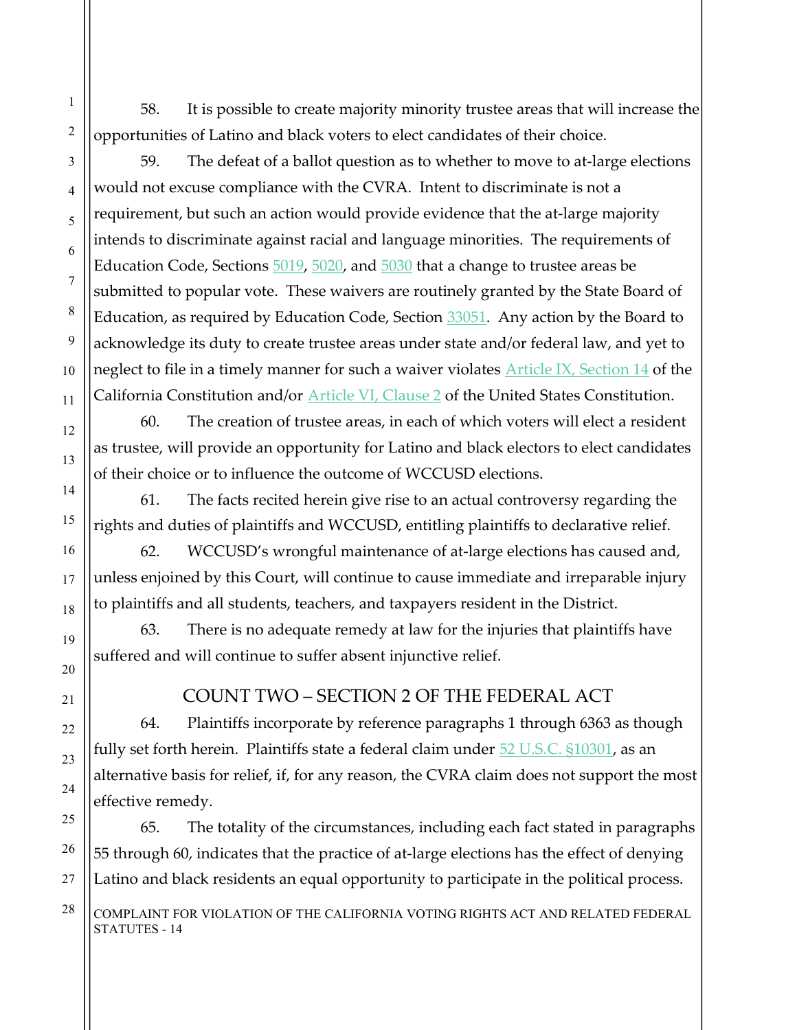58. It is possible to create majority minority trustee areas that will increase the opportunities of Latino and black voters to elect candidates of their choice.

59. The defeat of a ballot question as to whether to move to at-large elections would not excuse compliance with the CVRA. Intent to discriminate is not a requirement, but such an action would provide evidence that the at-large majority intends to discriminate against racial and language minorities. The requirements of Education Code, Sections 5019, 5020, and 5030 that a change to trustee areas be submitted to popular vote. These waivers are routinely granted by the State Board of Education, as required by Education Code, Section 33051. Any action by the Board to acknowledge its duty to create trustee areas under state and/or federal law, and yet to neglect to file in a timely manner for such a waiver violates **Article IX**, Section 14 of the California Constitution and/or Article VI, Clause 2 of the United States Constitution.

60. The creation of trustee areas, in each of which voters will elect a resident as trustee, will provide an opportunity for Latino and black electors to elect candidates of their choice or to influence the outcome of WCCUSD elections.

61. The facts recited herein give rise to an actual controversy regarding the rights and duties of plaintiffs and WCCUSD, entitling plaintiffs to declarative relief.

62. WCCUSD's wrongful maintenance of at-large elections has caused and, unless enjoined by this Court, will continue to cause immediate and irreparable injury to plaintiffs and all students, teachers, and taxpayers resident in the District.

63. There is no adequate remedy at law for the injuries that plaintiffs have suffered and will continue to suffer absent injunctive relief.

## COUNT TWO – SECTION 2 OF THE FEDERAL ACT

64. Plaintiffs incorporate by reference paragraphs 1 through 6363 as though fully set forth herein. Plaintiffs state a federal claim under 52 U.S.C. §10301, as an alternative basis for relief, if, for any reason, the CVRA claim does not support the most effective remedy.

65. The totality of the circumstances, including each fact stated in paragraphs 55 through 60, indicates that the practice of at-large elections has the effect of denying Latino and black residents an equal opportunity to participate in the political process.

 $\frac{28}{\text{COMPLAINT}}$  FOR VIOLATION OF THE CALIFORNIA VOTING RIGHTS ACT AND RELATED FEDERAL STATUTES - 14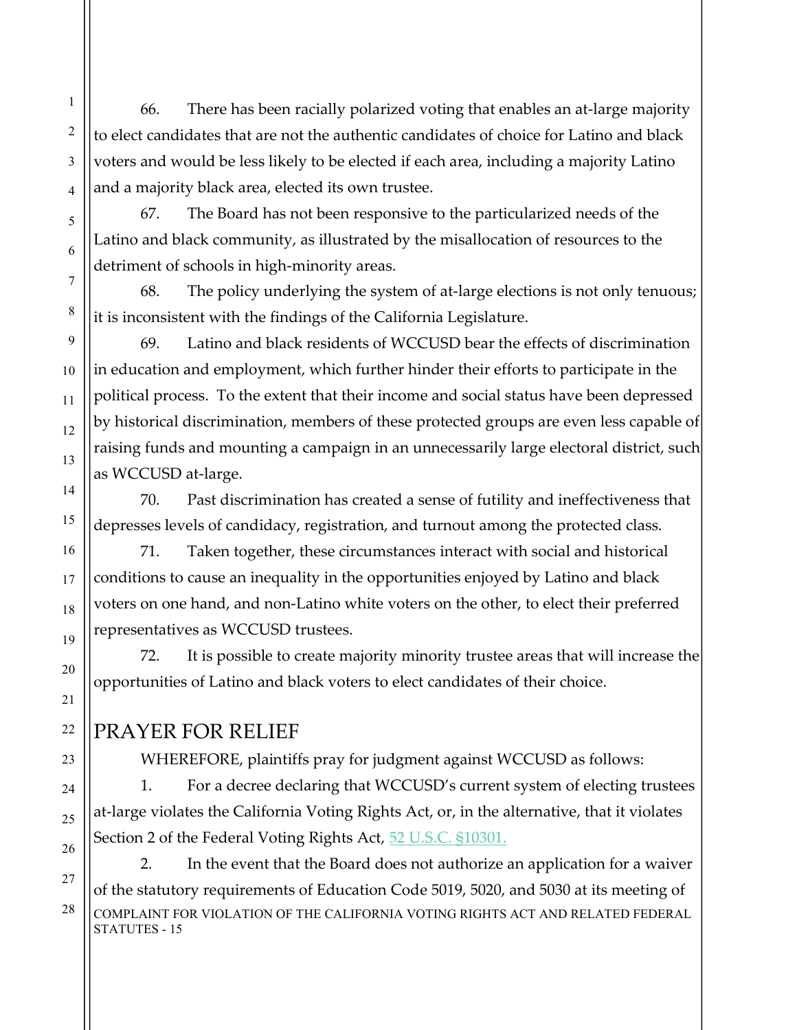66. There has been racially polarized voting that enables an at-large majority to elect candidates that are not the authentic candidates of choice for Latino and black voters and would be less likely to be elected if each area, including a majority Latino and a majority black area, elected its own trustee.

67. The Board has not been responsive to the particularized needs of the Latino and black community, as illustrated by the misallocation of resources to the detriment of schools in high-minority areas.

68. The policy underlying the system of at-large elections is not only tenuous; it is inconsistent with the findings of the California Legislature.

69. Latino and black residents of WCCUSD bear the effects of discrimination in education and employment, which further hinder their efforts to participate in the political process. To the extent that their income and social status have been depressed by historical discrimination, members of these protected groups are even less capable of raising funds and mounting a campaign in an unnecessarily large electoral district, such as WCCUSD at-large.

70. Past discrimination has created a sense of futility and ineffectiveness that depresses levels of candidacy, registration, and turnout among the protected class.

71. Taken together, these circumstances interact with social and historical conditions to cause an inequality in the opportunities enjoyed by Latino and black voters on one hand, and non-Latino white voters on the other, to elect their preferred representatives as WCCUSD trustees.

72. It is possible to create majority minority trustee areas that will increase the opportunities of Latino and black voters to elect candidates of their choice.

PRAYER FOR RELIEF

WHEREFORE, plaintiffs pray for judgment against WCCUSD as follows:

1. For a decree declaring that WCCUSD's current system of electing trustees at-large violates the California Voting Rights Act, or, in the alternative, that it violates Section 2 of the Federal Voting Rights Act, 52 U.S.C. §10301.

 $28$   $\vert$  COMPLAINT FOR VIOLATION OF THE CALIFORNIA VOTING RIGHTS ACT AND RELATED FEDERAL STATUTES - 15 2. In the event that the Board does not authorize an application for a waiver of the statutory requirements of Education Code 5019, 5020, and 5030 at its meeting of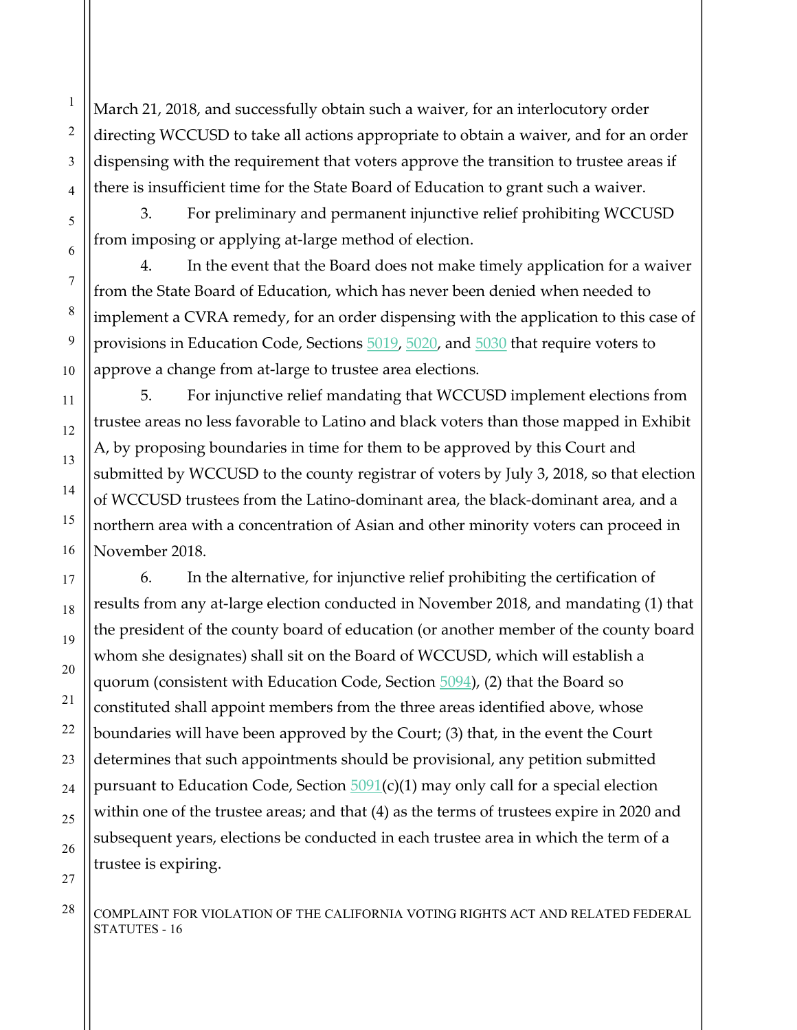March 21, 2018, and successfully obtain such a waiver, for an interlocutory order directing WCCUSD to take all actions appropriate to obtain a waiver, and for an order dispensing with the requirement that voters approve the transition to trustee areas if there is insufficient time for the State Board of Education to grant such a waiver.

3. For preliminary and permanent injunctive relief prohibiting WCCUSD from imposing or applying at-large method of election.

4. In the event that the Board does not make timely application for a waiver from the State Board of Education, which has never been denied when needed to implement a CVRA remedy, for an order dispensing with the application to this case of provisions in Education Code, Sections 5019, 5020, and 5030 that require voters to approve a change from at-large to trustee area elections.

5. For injunctive relief mandating that WCCUSD implement elections from trustee areas no less favorable to Latino and black voters than those mapped in Exhibit A, by proposing boundaries in time for them to be approved by this Court and submitted by WCCUSD to the county registrar of voters by July 3, 2018, so that election of WCCUSD trustees from the Latino-dominant area, the black-dominant area, and a northern area with a concentration of Asian and other minority voters can proceed in November 2018.

6. In the alternative, for injunctive relief prohibiting the certification of results from any at-large election conducted in November 2018, and mandating (1) that the president of the county board of education (or another member of the county board whom she designates) shall sit on the Board of WCCUSD, which will establish a quorum (consistent with Education Code, Section 5094), (2) that the Board so constituted shall appoint members from the three areas identified above, whose boundaries will have been approved by the Court; (3) that, in the event the Court determines that such appointments should be provisional, any petition submitted pursuant to Education Code, Section  $5091(c)(1)$  may only call for a special election within one of the trustee areas; and that (4) as the terms of trustees expire in 2020 and subsequent years, elections be conducted in each trustee area in which the term of a trustee is expiring.

#### $\frac{28}{\text{COMPLAINT}}$  FOR VIOLATION OF THE CALIFORNIA VOTING RIGHTS ACT AND RELATED FEDERAL STATUTES - 16

1

2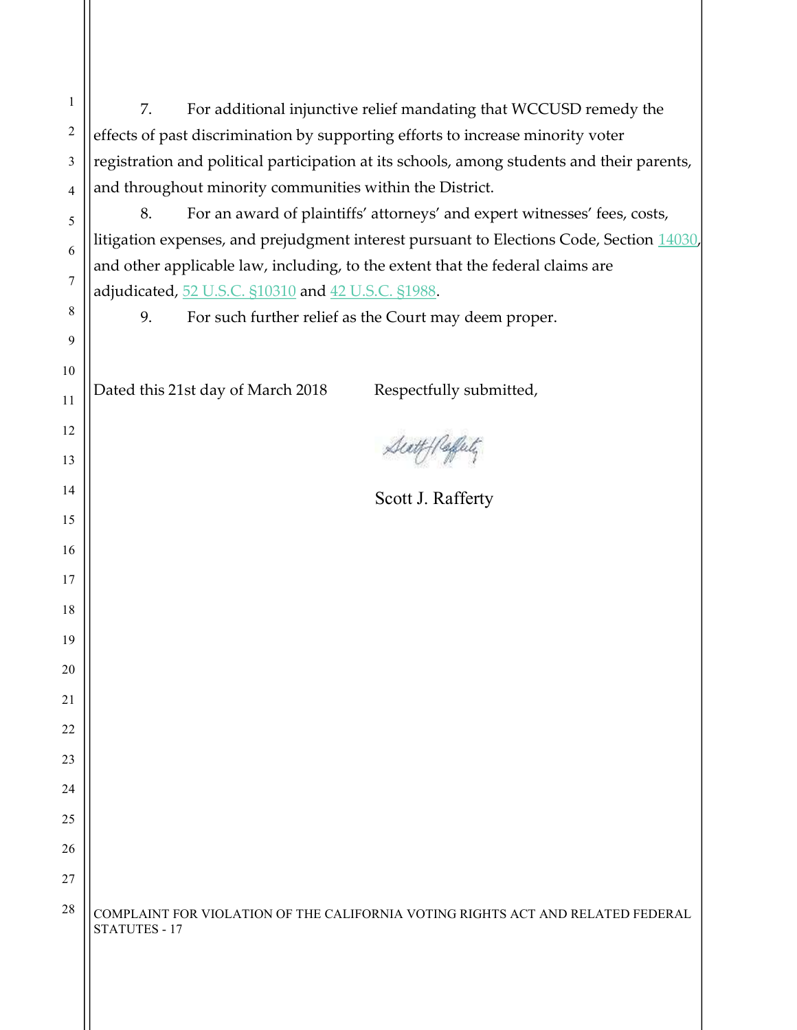| $\mathbf{1}$ | For additional injunctive relief mandating that WCCUSD remedy the<br>7.                          |  |  |  |  |
|--------------|--------------------------------------------------------------------------------------------------|--|--|--|--|
| 2            | effects of past discrimination by supporting efforts to increase minority voter                  |  |  |  |  |
| 3            | registration and political participation at its schools, among students and their parents,       |  |  |  |  |
| 4            | and throughout minority communities within the District.                                         |  |  |  |  |
| 5            | For an award of plaintiffs' attorneys' and expert witnesses' fees, costs,<br>8.                  |  |  |  |  |
| 6            | litigation expenses, and prejudgment interest pursuant to Elections Code, Section 14030,         |  |  |  |  |
| 7            | and other applicable law, including, to the extent that the federal claims are                   |  |  |  |  |
|              | adjudicated, 52 U.S.C. §10310 and 42 U.S.C. §1988.                                               |  |  |  |  |
| 8            | For such further relief as the Court may deem proper.<br>9.                                      |  |  |  |  |
| 9            |                                                                                                  |  |  |  |  |
| 10           | Respectfully submitted,<br>Dated this 21st day of March 2018                                     |  |  |  |  |
| 11           |                                                                                                  |  |  |  |  |
| 12           |                                                                                                  |  |  |  |  |
| 13           |                                                                                                  |  |  |  |  |
| 14           | Scott J. Rafferty                                                                                |  |  |  |  |
| 15           |                                                                                                  |  |  |  |  |
| 16           |                                                                                                  |  |  |  |  |
| 17           |                                                                                                  |  |  |  |  |
| 18           |                                                                                                  |  |  |  |  |
| 19           |                                                                                                  |  |  |  |  |
| 20           |                                                                                                  |  |  |  |  |
| 21           |                                                                                                  |  |  |  |  |
| 22           |                                                                                                  |  |  |  |  |
| 23           |                                                                                                  |  |  |  |  |
|              |                                                                                                  |  |  |  |  |
| 24           |                                                                                                  |  |  |  |  |
| 25           |                                                                                                  |  |  |  |  |
| 26           |                                                                                                  |  |  |  |  |
| 27           |                                                                                                  |  |  |  |  |
| 28           | COMPLAINT FOR VIOLATION OF THE CALIFORNIA VOTING RIGHTS ACT AND RELATED FEDERAL<br>STATUTES - 17 |  |  |  |  |